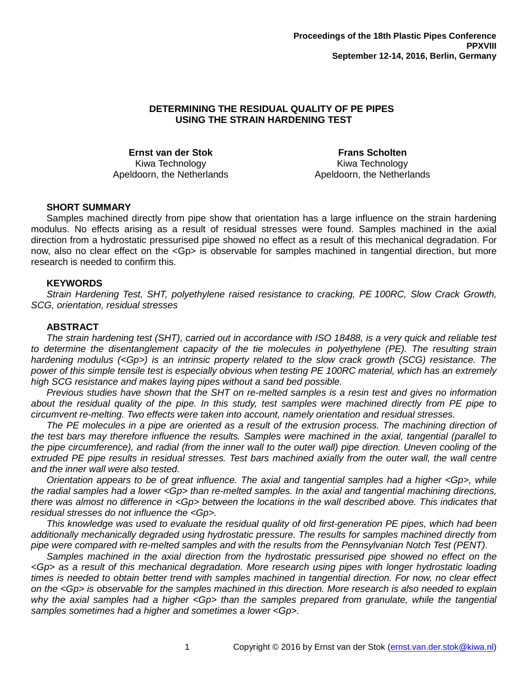# **DETERMINING THE RESIDUAL QUALITY OF PE PIPES USING THE STRAIN HARDENING TEST**

**Ernst van der Stok** Kiwa Technology Apeldoorn, the Netherlands

**Frans Scholten** Kiwa Technology Apeldoorn, the Netherlands

### **SHORT SUMMARY**

Samples machined directly from pipe show that orientation has a large influence on the strain hardening modulus. No effects arising as a result of residual stresses were found. Samples machined in the axial direction from a hydrostatic pressurised pipe showed no effect as a result of this mechanical degradation. For now, also no clear effect on the <Gp> is observable for samples machined in tangential direction, but more research is needed to confirm this.

#### **KEYWORDS**

*Strain Hardening Test, SHT, polyethylene raised resistance to cracking, PE 100RC, Slow Crack Growth, SCG, orientation, residual stresses*

### **ABSTRACT**

*The strain hardening test (SHT), carried out in accordance with ISO 18488, is a very quick and reliable test to determine the disentanglement capacity of the tie molecules in polyethylene (PE). The resulting strain hardening modulus (<Gp>) is an intrinsic property related to the slow crack growth (SCG) resistance. The power of this simple tensile test is especially obvious when testing PE 100RC material, which has an extremely high SCG resistance and makes laying pipes without a sand bed possible.*

*Previous studies have shown that the SHT on re-melted samples is a resin test and gives no information about the residual quality of the pipe. In this study, test samples were machined directly from PE pipe to circumvent re-melting. Two effects were taken into account, namely orientation and residual stresses.*

*The PE molecules in a pipe are oriented as a result of the extrusion process. The machining direction of the test bars may therefore influence the results. Samples were machined in the axial, tangential (parallel to the pipe circumference), and radial (from the inner wall to the outer wall) pipe direction. Uneven cooling of the extruded PE pipe results in residual stresses. Test bars machined axially from the outer wall, the wall centre and the inner wall were also tested.*

*Orientation appears to be of great influence. The axial and tangential samples had a higher <Gp>, while the radial samples had a lower <Gp> than re-melted samples. In the axial and tangential machining directions, there was almost no difference in <Gp> between the locations in the wall described above. This indicates that residual stresses do not influence the <Gp>.*

*This knowledge was used to evaluate the residual quality of old first-generation PE pipes, which had been additionally mechanically degraded using hydrostatic pressure. The results for samples machined directly from pipe were compared with re-melted samples and with the results from the Pennsylvanian Notch Test (PENT).*

*Samples machined in the axial direction from the hydrostatic pressurised pipe showed no effect on the <Gp> as a result of this mechanical degradation. More research using pipes with longer hydrostatic loading times is needed to obtain better trend with samples machined in tangential direction. For now, no clear effect on the <Gp> is observable for the samples machined in this direction. More research is also needed to explain why the axial samples had a higher <Gp> than the samples prepared from granulate, while the tangential samples sometimes had a higher and sometimes a lower <Gp>.*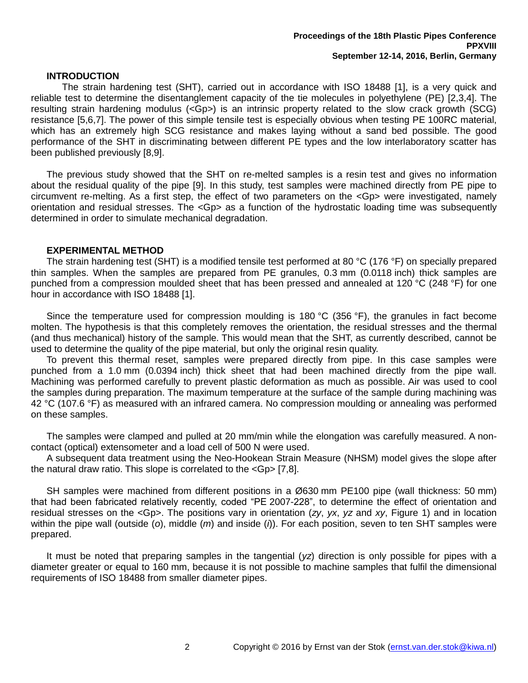### <span id="page-1-4"></span><span id="page-1-2"></span><span id="page-1-1"></span>**INTRODUCTION**

The strain hardening test (SHT), carried out in accordance with ISO 18488 [1], is a very quick and reliable test to determine the disentanglement capacity of the tie molecules in polyethylene (PE) [2,3,4]. The resulting strain hardening modulus (<Gp>) is an intrinsic property related to the slow crack growth (SCG) resistance [5,6,7]. The power of this simple tensile test is especially obvious when testing PE 100RC material, which has an extremely high SCG resistance and makes laying without a sand bed possible. The good performance of the SHT in discriminating between different PE types and the low interlaboratory scatter has been published previously [8,9].

<span id="page-1-3"></span><span id="page-1-0"></span>The previous study showed that the SHT on re-melted samples is a resin test and gives no information about the residual quality of the pipe [\[9\]](#page-1-0). In this study, test samples were machined directly from PE pipe to circumvent re-melting. As a first step, the effect of two parameters on the <Gp> were investigated, namely orientation and residual stresses. The <Gp> as a function of the hydrostatic loading time was subsequently determined in order to simulate mechanical degradation.

### **EXPERIMENTAL METHOD**

The strain hardening test (SHT) is a modified tensile test performed at 80 °C (176 °F) on specially prepared thin samples. When the samples are prepared from PE granules, 0.3 mm (0.0118 inch) thick samples are punched from a compression moulded sheet that has been pressed and annealed at 120 °C (248 °F) for one hour in accordance with ISO 18488 [\[1\]](#page-1-1).

Since the temperature used for compression moulding is 180 °C (356 °F), the granules in fact become molten. The hypothesis is that this completely removes the orientation, the residual stresses and the thermal (and thus mechanical) history of the sample. This would mean that the SHT, as currently described, cannot be used to determine the quality of the pipe material, but only the original resin quality.

To prevent this thermal reset, samples were prepared directly from pipe. In this case samples were punched from a 1.0 mm (0.0394 inch) thick sheet that had been machined directly from the pipe wall. Machining was performed carefully to prevent plastic deformation as much as possible. Air was used to cool the samples during preparation. The maximum temperature at the surface of the sample during machining was 42 °C (107.6 °F) as measured with an infrared camera. No compression moulding or annealing was performed on these samples.

The samples were clamped and pulled at 20 mm/min while the elongation was carefully measured. A noncontact (optical) extensometer and a load cell of 500 N were used.

A subsequent data treatment using the Neo-Hookean Strain Measure (NHSM) model gives the slope after the natural draw ratio. This slope is correlated to the <Gp> [\[7,](#page-1-2)[8\]](#page-1-3).

SH samples were machined from different positions in a Ø630 mm PE100 pipe (wall thickness: 50 mm) that had been fabricated relatively recently, coded "PE 2007-228", to determine the effect of orientation and residual stresses on the <Gp>. The positions vary in orientation (*zy*, *yx*, *yz* and *xy*, [Figure 1\)](#page-2-0) and in location within the pipe wall (outside (*o*), middle (*m*) and inside (*i*)). For each position, seven to ten SHT samples were prepared.

It must be noted that preparing samples in the tangential (*yz*) direction is only possible for pipes with a diameter greater or equal to 160 mm, because it is not possible to machine samples that fulfil the dimensional requirements of ISO 18488 from smaller diameter pipes.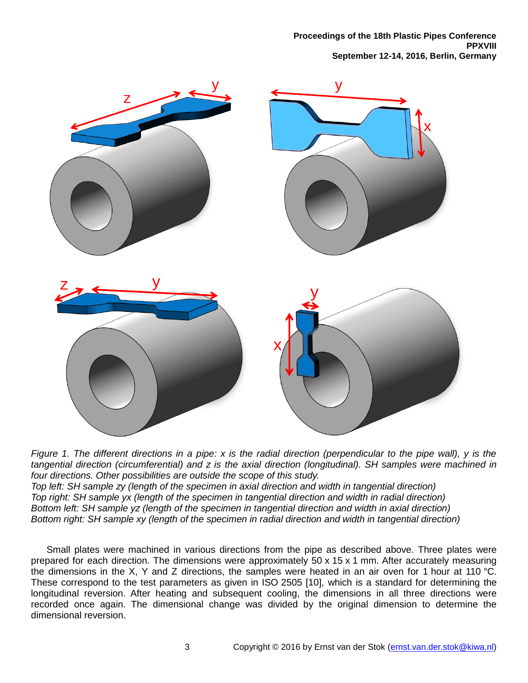**Proceedings of the 18th Plastic Pipes Conference PPXVIII September 12-14, 2016, Berlin, Germany**



<span id="page-2-0"></span>*Figure 1. The different directions in a pipe: x is the radial direction (perpendicular to the pipe wall), y is the tangential direction (circumferential) and z is the axial direction (longitudinal). SH samples were machined in four directions. Other possibilities are outside the scope of this study. Top left: SH sample zy (length of the specimen in axial direction and width in tangential direction) Top right: SH sample yx (length of the specimen in tangential direction and width in radial direction)*

*Bottom left: SH sample yz (length of the specimen in tangential direction and width in axial direction) Bottom right: SH sample xy (length of the specimen in radial direction and width in tangential direction)*

Small plates were machined in various directions from the pipe as described above. Three plates were prepared for each direction. The dimensions were approximately 50 x 15 x 1 mm. After accurately measuring the dimensions in the X, Y and Z directions, the samples were heated in an air oven for 1 hour at 110 °C. These correspond to the test parameters as given in ISO 2505 [10], which is a standard for determining the longitudinal reversion. After heating and subsequent cooling, the dimensions in all three directions were recorded once again. The dimensional change was divided by the original dimension to determine the dimensional reversion.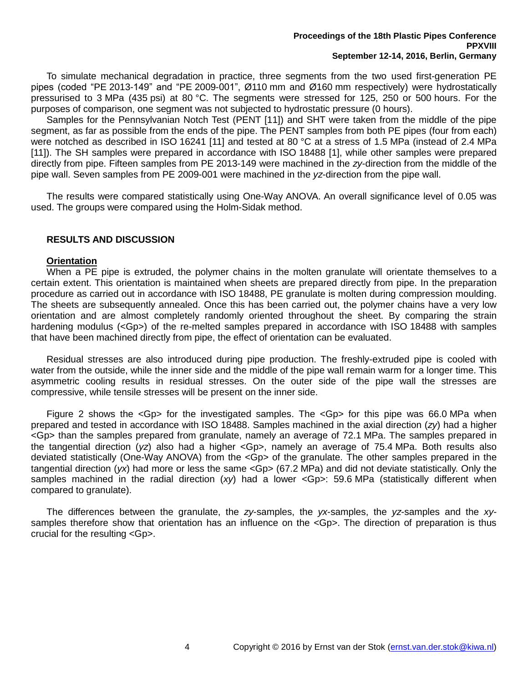To simulate mechanical degradation in practice, three segments from the two used first-generation PE pipes (coded "PE 2013-149" and "PE 2009-001", Ø110 mm and Ø160 mm respectively) were hydrostatically pressurised to 3 MPa (435 psi) at 80 °C. The segments were stressed for 125, 250 or 500 hours. For the purposes of comparison, one segment was not subjected to hydrostatic pressure (0 hours).

<span id="page-3-0"></span>Samples for the Pennsylvanian Notch Test (PENT [11]) and SHT were taken from the middle of the pipe segment, as far as possible from the ends of the pipe. The PENT samples from both PE pipes (four from each) were notched as described in ISO 16241 [\[11\]](#page-3-0) and tested at 80 °C at a stress of 1.5 MPa (instead of 2.4 MPa [\[11\]](#page-3-0)). The SH samples were prepared in accordance with ISO 18488 [\[1\]](#page-1-1), while other samples were prepared directly from pipe. Fifteen samples from PE 2013-149 were machined in the *zy*-direction from the middle of the pipe wall. Seven samples from PE 2009-001 were machined in the *yz*-direction from the pipe wall.

The results were compared statistically using One-Way ANOVA. An overall significance level of 0.05 was used. The groups were compared using the Holm-Sidak method.

# **RESULTS AND DISCUSSION**

# **Orientation**

When a PE pipe is extruded, the polymer chains in the molten granulate will orientate themselves to a certain extent. This orientation is maintained when sheets are prepared directly from pipe. In the preparation procedure as carried out in accordance with ISO 18488, PE granulate is molten during compression moulding. The sheets are subsequently annealed. Once this has been carried out, the polymer chains have a very low orientation and are almost completely randomly oriented throughout the sheet. By comparing the strain hardening modulus (<Gp>) of the re-melted samples prepared in accordance with ISO 18488 with samples that have been machined directly from pipe, the effect of orientation can be evaluated.

Residual stresses are also introduced during pipe production. The freshly-extruded pipe is cooled with water from the outside, while the inner side and the middle of the pipe wall remain warm for a longer time. This asymmetric cooling results in residual stresses. On the outer side of the pipe wall the stresses are compressive, while tensile stresses will be present on the inner side.

[Figure 2](#page-4-0) shows the  $\leq$ Gp> for the investigated samples. The  $\leq$ Gp> for this pipe was 66.0 MPa when prepared and tested in accordance with ISO 18488. Samples machined in the axial direction (*zy*) had a higher <Gp> than the samples prepared from granulate, namely an average of 72.1 MPa. The samples prepared in the tangential direction (*yz*) also had a higher <Gp>, namely an average of 75.4 MPa. Both results also deviated statistically (One-Way ANOVA) from the <Gp> of the granulate. The other samples prepared in the tangential direction (*yx*) had more or less the same <Gp> (67.2 MPa) and did not deviate statistically. Only the samples machined in the radial direction (xy) had a lower <Gp>: 59.6 MPa (statistically different when compared to granulate).

The differences between the granulate, the *zy*-samples, the *yx*-samples, the *yz*-samples and the *xy*samples therefore show that orientation has an influence on the <Gp>. The direction of preparation is thus crucial for the resulting <Gp>.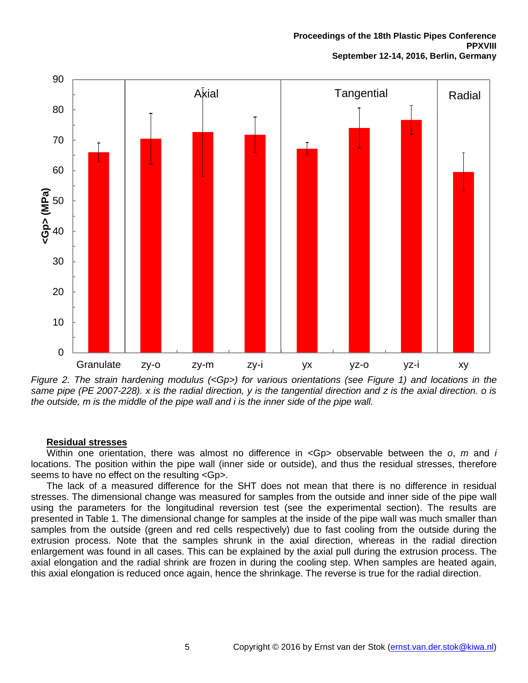

<span id="page-4-0"></span>*Figure 2. The strain hardening modulus (<Gp>) for various orientations (see [Figure 1\)](#page-2-0) and locations in the same pipe (PE 2007-228). x is the radial direction, y is the tangential direction and z is the axial direction. o is the outside, m is the middle of the pipe wall and i is the inner side of the pipe wall.*

# **Residual stresses**

Within one orientation, there was almost no difference in <Gp> observable between the *o*, *m* and *i* locations. The position within the pipe wall (inner side or outside), and thus the residual stresses, therefore seems to have no effect on the resulting <Gp>.

The lack of a measured difference for the SHT does not mean that there is no difference in residual stresses. The dimensional change was measured for samples from the outside and inner side of the pipe wall using the parameters for the longitudinal reversion test (see the experimental section). The results are presented in [Table 1.](#page-5-0) The dimensional change for samples at the inside of the pipe wall was much smaller than samples from the outside (green and red cells respectively) due to fast cooling from the outside during the extrusion process. Note that the samples shrunk in the axial direction, whereas in the radial direction enlargement was found in all cases. This can be explained by the axial pull during the extrusion process. The axial elongation and the radial shrink are frozen in during the cooling step. When samples are heated again, this axial elongation is reduced once again, hence the shrinkage. The reverse is true for the radial direction.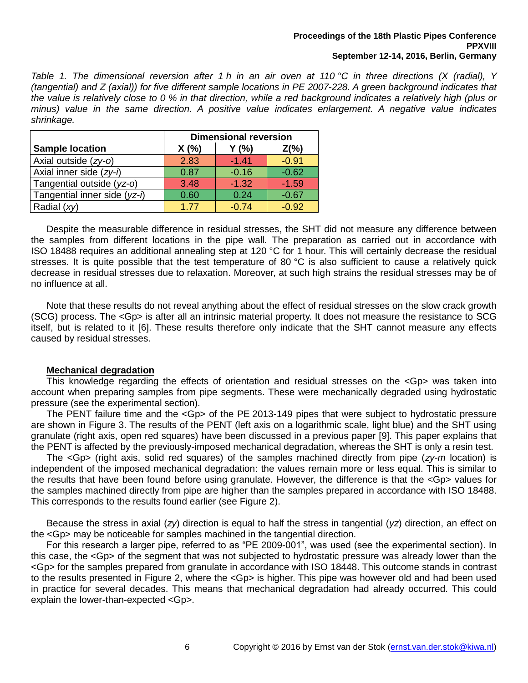#### **Proceedings of the 18th Plastic Pipes Conference PPXVIII September 12-14, 2016, Berlin, Germany**

<span id="page-5-0"></span>*Table 1. The dimensional reversion after 1 h in an air oven at 110 °C in three directions (X (radial), Y (tangential) and Z (axial)) for five different sample locations in PE 2007-228. A green background indicates that the value is relatively close to 0 % in that direction, while a red background indicates a relatively high (plus or minus) value in the same direction. A positive value indicates enlargement. A negative value indicates shrinkage.*

|                              | <b>Dimensional reversion</b> |         |         |
|------------------------------|------------------------------|---------|---------|
| <b>Sample location</b>       | X(%)                         | Y(% )   | $Z(\%)$ |
| Axial outside (zy-o)         | 2.83                         | $-1.41$ | $-0.91$ |
| Axial inner side (zy-i)      | 0.87                         | $-0.16$ | $-0.62$ |
| Tangential outside (yz-o)    | 3.48                         | $-1.32$ | $-1.59$ |
| Tangential inner side (yz-i) | 0.60                         | 0.24    | $-0.67$ |
| Radial (xy)                  | 1.77                         | $-0.74$ | $-0.92$ |

Despite the measurable difference in residual stresses, the SHT did not measure any difference between the samples from different locations in the pipe wall. The preparation as carried out in accordance with ISO 18488 requires an additional annealing step at 120 °C for 1 hour. This will certainly decrease the residual stresses. It is quite possible that the test temperature of 80 °C is also sufficient to cause a relatively quick decrease in residual stresses due to relaxation. Moreover, at such high strains the residual stresses may be of no influence at all.

Note that these results do not reveal anything about the effect of residual stresses on the slow crack growth (SCG) process. The <Gp> is after all an intrinsic material property. It does not measure the resistance to SCG itself, but is related to it [\[6\]](#page-1-4). These results therefore only indicate that the SHT cannot measure any effects caused by residual stresses.

# **Mechanical degradation**

This knowledge regarding the effects of orientation and residual stresses on the <Gp> was taken into account when preparing samples from pipe segments. These were mechanically degraded using hydrostatic pressure (see the experimental section).

The PENT failure time and the <Gp> of the PE 2013-149 pipes that were subject to hydrostatic pressure are shown in [Figure 3.](#page-6-0) The results of the PENT (left axis on a logarithmic scale, light blue) and the SHT using granulate (right axis, open red squares) have been discussed in a previous paper [\[9\]](#page-1-0). This paper explains that the PENT is affected by the previously-imposed mechanical degradation, whereas the SHT is only a resin test.

The <Gp> (right axis, solid red squares) of the samples machined directly from pipe (*zy-m* location) is independent of the imposed mechanical degradation: the values remain more or less equal. This is similar to the results that have been found before using granulate. However, the difference is that the <Gp> values for the samples machined directly from pipe are higher than the samples prepared in accordance with ISO 18488. This corresponds to the results found earlier (see [Figure 2\)](#page-4-0).

Because the stress in axial (*zy*) direction is equal to half the stress in tangential (*yz*) direction, an effect on the <Gp> may be noticeable for samples machined in the tangential direction.

For this research a larger pipe, referred to as "PE 2009-001", was used (see the experimental section). In this case, the <Gp> of the segment that was not subjected to hydrostatic pressure was already lower than the <Gp> for the samples prepared from granulate in accordance with ISO 18448. This outcome stands in contrast to the results presented in [Figure 2,](#page-4-0) where the <Gp> is higher. This pipe was however old and had been used in practice for several decades. This means that mechanical degradation had already occurred. This could explain the lower-than-expected <Gp>.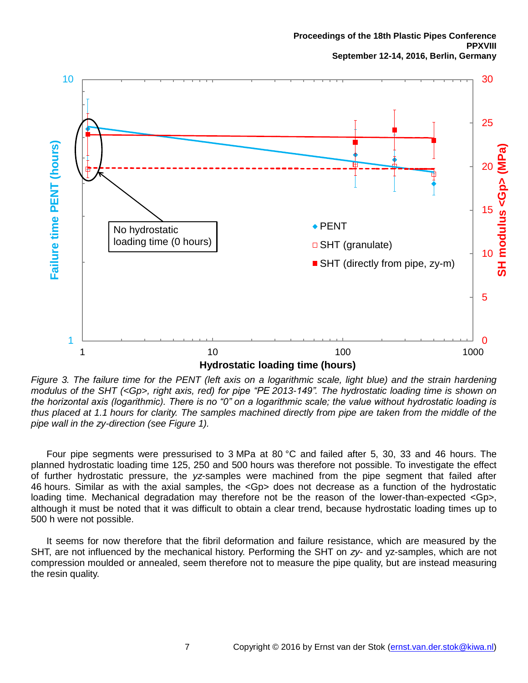

<span id="page-6-0"></span>*Figure 3. The failure time for the PENT (left axis on a logarithmic scale, light blue) and the strain hardening modulus of the SHT (<Gp>, right axis, red) for pipe "PE 2013-149". The hydrostatic loading time is shown on the horizontal axis (logarithmic). There is no "0" on a logarithmic scale; the value without hydrostatic loading is thus placed at 1.1 hours for clarity. The samples machined directly from pipe are taken from the middle of the pipe wall in the zy-direction (see [Figure 1\)](#page-2-0).*

Four pipe segments were pressurised to 3 MPa at 80 °C and failed after 5, 30, 33 and 46 hours. The planned hydrostatic loading time 125, 250 and 500 hours was therefore not possible. To investigate the effect of further hydrostatic pressure, the *yz*-samples were machined from the pipe segment that failed after 46 hours. Similar as with the axial samples, the <Gp> does not decrease as a function of the hydrostatic loading time. Mechanical degradation may therefore not be the reason of the lower-than-expected <Gp>, although it must be noted that it was difficult to obtain a clear trend, because hydrostatic loading times up to 500 h were not possible.

It seems for now therefore that the fibril deformation and failure resistance, which are measured by the SHT, are not influenced by the mechanical history. Performing the SHT on *zy*- and yz-samples, which are not compression moulded or annealed, seem therefore not to measure the pipe quality, but are instead measuring the resin quality.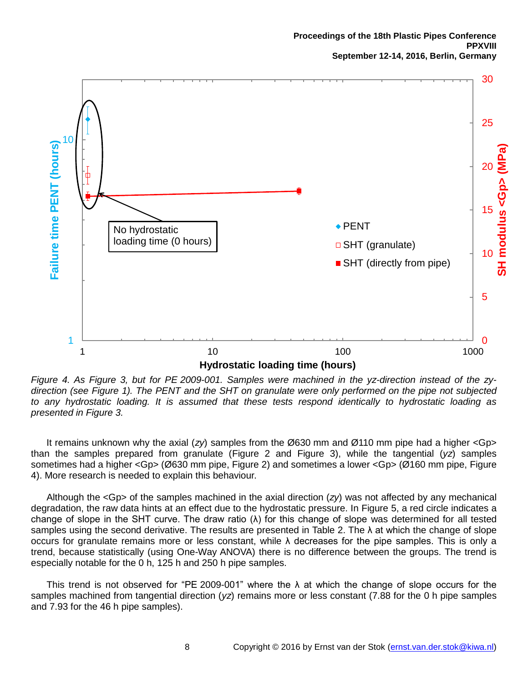

<span id="page-7-0"></span>*Figure 4. As [Figure 3,](#page-6-0) but for PE 2009-001. Samples were machined in the yz-direction instead of the zydirection (see [Figure 1\)](#page-2-0). The PENT and the SHT on granulate were only performed on the pipe not subjected to any hydrostatic loading. It is assumed that these tests respond identically to hydrostatic loading as presented in [Figure 3.](#page-6-0)*

It remains unknown why the axial (*zy*) samples from the Ø630 mm and Ø110 mm pipe had a higher <Gp> than the samples prepared from granulate [\(Figure 2](#page-4-0) and [Figure 3\)](#page-6-0), while the tangential (*yz*) samples sometimes had a higher <Gp> (Ø630 mm pipe, [Figure 2\)](#page-4-0) and sometimes a lower <Gp> (Ø160 mm pipe, [Figure](#page-7-0)  [4\)](#page-7-0). More research is needed to explain this behaviour.

Although the <Gp> of the samples machined in the axial direction (*zy*) was not affected by any mechanical degradation, the raw data hints at an effect due to the hydrostatic pressure. In [Figure 5,](#page-8-0) a red circle indicates a change of slope in the SHT curve. The draw ratio (λ) for this change of slope was determined for all tested samples using the second derivative. The results are presented in [Table 2.](#page-8-1) The  $\lambda$  at which the change of slope occurs for granulate remains more or less constant, while λ decreases for the pipe samples. This is only a trend, because statistically (using One-Way ANOVA) there is no difference between the groups. The trend is especially notable for the 0 h, 125 h and 250 h pipe samples.

This trend is not observed for "PE 2009-001" where the  $\lambda$  at which the change of slope occurs for the samples machined from tangential direction (*yz*) remains more or less constant (7.88 for the 0 h pipe samples and 7.93 for the 46 h pipe samples).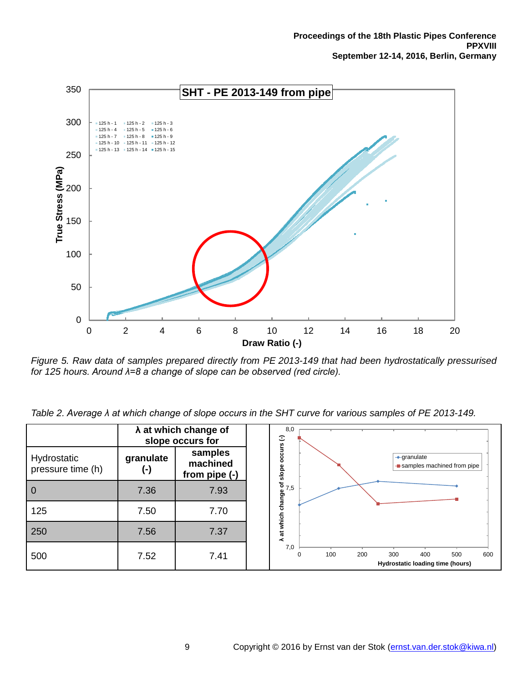

<span id="page-8-0"></span>*Figure 5. Raw data of samples prepared directly from PE 2013-149 that had been hydrostatically pressurised for 125 hours. Around λ=8 a change of slope can be observed (red circle).*

<span id="page-8-1"></span>*Table 2. Average λ at which change of slope occurs in the SHT curve for various samples of PE 2013-149.*

|                                  | $\lambda$ at which change of<br>slope occurs for |                                      | 8,0                                                                                                    |
|----------------------------------|--------------------------------------------------|--------------------------------------|--------------------------------------------------------------------------------------------------------|
| Hydrostatic<br>pressure time (h) | granulate<br>(-)                                 | samples<br>machined<br>from pipe (-) | e of slope occurs (-)<br>3<br>5<br>5<br>$\rightarrow$ granulate<br><b>-</b> samples machined from pipe |
| $\overline{0}$                   | 7.36                                             | 7.93                                 |                                                                                                        |
| 125                              | 7.50                                             | 7.70                                 | at which change                                                                                        |
| 250                              | 7.56                                             | 7.37                                 | ≺                                                                                                      |
| 500                              | 7.52                                             | 7.41                                 | 7,0<br>200<br>300<br>100<br>400<br>500<br>600<br>0<br>Hydrostatic loading time (hours)                 |